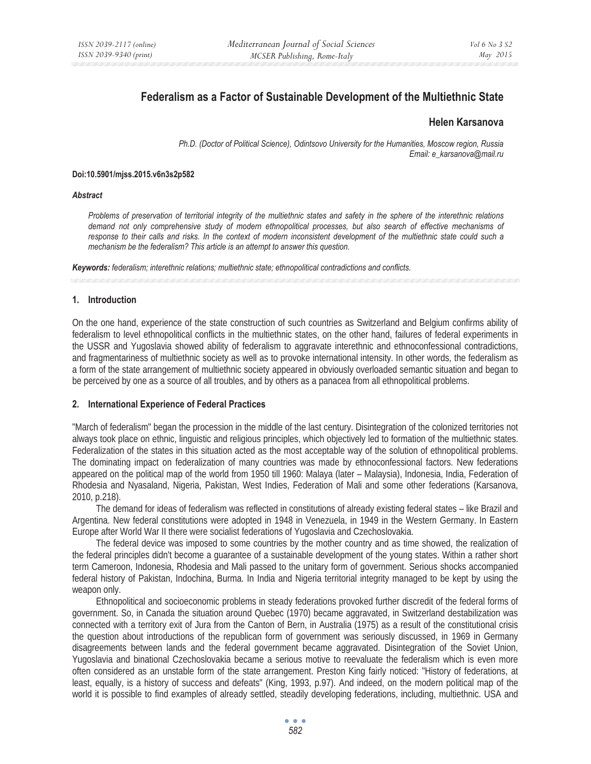# **Federalism as a Factor of Sustainable Development of the Multiethnic State**

# **Helen Karsanova**

*Ph.D. (Doctor of Political Science), Odintsovo University for the Humanities, Moscow region, Russia Email: e\_karsanova@mail.ru* 

#### **Doi:10.5901/mjss.2015.v6n3s2p582**

#### *Abstract*

*Problems of preservation of territorial integrity of the multiethnic states and safety in the sphere of the interethnic relations*  demand not only comprehensive study of modern ethnopolitical processes, but also search of effective mechanisms of *response to their calls and risks. In the context of modern inconsistent development of the multiethnic state could such a mechanism be the federalism? This article is an attempt to answer this question.* 

*Keywords: federalism; interethnic relations; multiethnic state; ethnopolitical contradictions and conflicts.* 

# **1. Introduction**

On the one hand, experience of the state construction of such countries as Switzerland and Belgium confirms ability of federalism to level ethnopolitical conflicts in the multiethnic states, on the other hand, failures of federal experiments in the USSR and Yugoslavia showed ability of federalism to aggravate interethnic and ethnoconfessional contradictions, and fragmentariness of multiethnic society as well as to provoke international intensity. In other words, the federalism as a form of the state arrangement of multiethnic society appeared in obviously overloaded semantic situation and began to be perceived by one as a source of all troubles, and by others as a panacea from all ethnopolitical problems.

#### **2. International Experience of Federal Practices**

"March of federalism" began the procession in the middle of the last century. Disintegration of the colonized territories not always took place on ethnic, linguistic and religious principles, which objectively led to formation of the multiethnic states. Federalization of the states in this situation acted as the most acceptable way of the solution of ethnopolitical problems. The dominating impact on federalization of many countries was made by ethnoconfessional factors. New federations appeared on the political map of the world from 1950 till 1960: Malaya (later – Malaysia), Indonesia, India, Federation of Rhodesia and Nyasaland, Nigeria, Pakistan, West Indies, Federation of Mali and some other federations (Karsanova, 2010, p.218).

The demand for ideas of federalism was reflected in constitutions of already existing federal states – like Brazil and Argentina. New federal constitutions were adopted in 1948 in Venezuela, in 1949 in the Western Germany. In Eastern Europe after World War II there were socialist federations of Yugoslavia and Czechoslovakia.

The federal device was imposed to some countries by the mother country and as time showed, the realization of the federal principles didn't become a guarantee of a sustainable development of the young states. Within a rather short term Cameroon, Indonesia, Rhodesia and Mali passed to the unitary form of government. Serious shocks accompanied federal history of Pakistan, Indochina, Burma. In India and Nigeria territorial integrity managed to be kept by using the weapon only.

Ethnopolitical and socioeconomic problems in steady federations provoked further discredit of the federal forms of government. So, in Canada the situation around Quebec (1970) became aggravated, in Switzerland destabilization was connected with a territory exit of Jura from the Canton of Bern, in Australia (1975) as a result of the constitutional crisis the question about introductions of the republican form of government was seriously discussed, in 1969 in Germany disagreements between lands and the federal government became aggravated. Disintegration of the Soviet Union, Yugoslavia and binational Czechoslovakia became a serious motive to reevaluate the federalism which is even more often considered as an unstable form of the state arrangement. Preston King fairly noticed: "History of federations, at least, equally, is a history of success and defeats" (King, 1993, p.97). And indeed, on the modern political map of the world it is possible to find examples of already settled, steadily developing federations, including, multiethnic. USA and

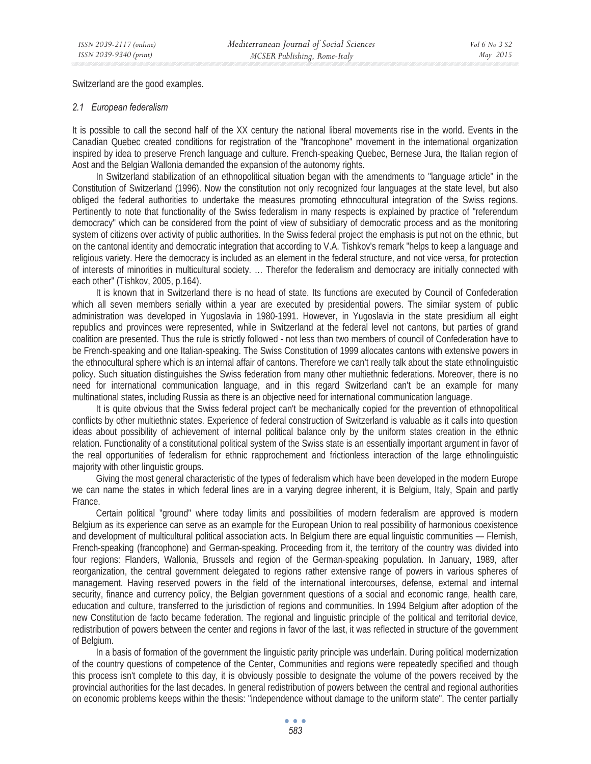Switzerland are the good examples.

## *2.1 European federalism*

It is possible to call the second half of the XX century the national liberal movements rise in the world. Events in the Canadian Quebec created conditions for registration of the "francophone" movement in the international organization inspired by idea to preserve French language and culture. French-speaking Quebec, Bernese Jura, the Italian region of Aost and the Belgian Wallonia demanded the expansion of the autonomy rights.

In Switzerland stabilization of an ethnopolitical situation began with the amendments to "language article" in the Constitution of Switzerland (1996). Now the constitution not only recognized four languages at the state level, but also obliged the federal authorities to undertake the measures promoting ethnocultural integration of the Swiss regions. Pertinently to note that functionality of the Swiss federalism in many respects is explained by practice of "referendum democracy" which can be considered from the point of view of subsidiary of democratic process and as the monitoring system of citizens over activity of public authorities. In the Swiss federal project the emphasis is put not on the ethnic, but on the cantonal identity and democratic integration that according to V.A. Tishkov's remark "helps to keep a language and religious variety. Here the democracy is included as an element in the federal structure, and not vice versa, for protection of interests of minorities in multicultural society. … Therefor the federalism and democracy are initially connected with each other" (Tishkov, 2005, p.164).

It is known that in Switzerland there is no head of state. Its functions are executed by Council of Confederation which all seven members serially within a year are executed by presidential powers. The similar system of public administration was developed in Yugoslavia in 1980-1991. However, in Yugoslavia in the state presidium all eight republics and provinces were represented, while in Switzerland at the federal level not cantons, but parties of grand coalition are presented. Thus the rule is strictly followed - not less than two members of council of Confederation have to be French-speaking and one Italian-speaking. The Swiss Constitution of 1999 allocates cantons with extensive powers in the ethnocultural sphere which is an internal affair of cantons. Therefore we can't really talk about the state ethnolinguistic policy. Such situation distinguishes the Swiss federation from many other multiethnic federations. Moreover, there is no need for international communication language, and in this regard Switzerland can't be an example for many multinational states, including Russia as there is an objective need for international communication language.

It is quite obvious that the Swiss federal project can't be mechanically copied for the prevention of ethnopolitical conflicts by other multiethnic states. Experience of federal construction of Switzerland is valuable as it calls into question ideas about possibility of achievement of internal political balance only by the uniform states creation in the ethnic relation. Functionality of a constitutional political system of the Swiss state is an essentially important argument in favor of the real opportunities of federalism for ethnic rapprochement and frictionless interaction of the large ethnolinguistic majority with other linguistic groups.

Giving the most general characteristic of the types of federalism which have been developed in the modern Europe we can name the states in which federal lines are in a varying degree inherent, it is Belgium, Italy, Spain and partly France.

Certain political "ground" where today limits and possibilities of modern federalism are approved is modern Belgium as its experience can serve as an example for the European Union to real possibility of harmonious coexistence and development of multicultural political association acts. In Belgium there are equal linguistic communities — Flemish, French-speaking (francophone) and German-speaking. Proceeding from it, the territory of the country was divided into four regions: Flanders, Wallonia, Brussels and region of the German-speaking population. In January, 1989, after reorganization, the central government delegated to regions rather extensive range of powers in various spheres of management. Having reserved powers in the field of the international intercourses, defense, external and internal security, finance and currency policy, the Belgian government questions of a social and economic range, health care, education and culture, transferred to the jurisdiction of regions and communities. In 1994 Belgium after adoption of the new Constitution de facto became federation. The regional and linguistic principle of the political and territorial device, redistribution of powers between the center and regions in favor of the last, it was reflected in structure of the government of Belgium.

In a basis of formation of the government the linguistic parity principle was underlain. During political modernization of the country questions of competence of the Center, Communities and regions were repeatedly specified and though this process isn't complete to this day, it is obviously possible to designate the volume of the powers received by the provincial authorities for the last decades. In general redistribution of powers between the central and regional authorities on economic problems keeps within the thesis: "independence without damage to the uniform state". The center partially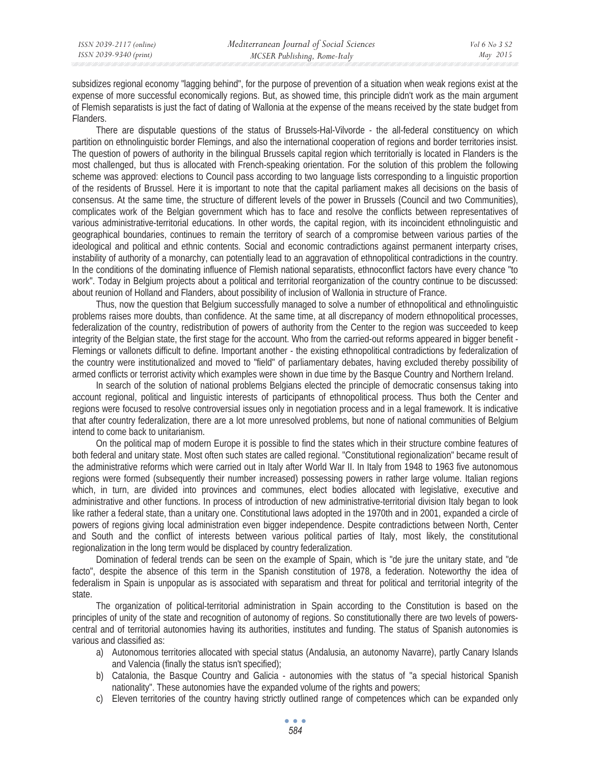subsidizes regional economy "lagging behind", for the purpose of prevention of a situation when weak regions exist at the expense of more successful economically regions. But, as showed time, this principle didn't work as the main argument of Flemish separatists is just the fact of dating of Wallonia at the expense of the means received by the state budget from Flanders.

There are disputable questions of the status of Brussels-Hal-Vilvorde - the all-federal constituency on which partition on ethnolinguistic border Flemings, and also the international cooperation of regions and border territories insist. The question of powers of authority in the bilingual Brussels capital region which territorially is located in Flanders is the most challenged, but thus is allocated with French-speaking orientation. For the solution of this problem the following scheme was approved: elections to Council pass according to two language lists corresponding to a linguistic proportion of the residents of Brussel. Here it is important to note that the capital parliament makes all decisions on the basis of consensus. At the same time, the structure of different levels of the power in Brussels (Council and two Communities), complicates work of the Belgian government which has to face and resolve the conflicts between representatives of various administrative-territorial educations. In other words, the capital region, with its incoincident ethnolinguistic and geographical boundaries, continues to remain the territory of search of a compromise between various parties of the ideological and political and ethnic contents. Social and economic contradictions against permanent interparty crises, instability of authority of a monarchy, can potentially lead to an aggravation of ethnopolitical contradictions in the country. In the conditions of the dominating influence of Flemish national separatists, ethnoconflict factors have every chance "to work". Today in Belgium projects about a political and territorial reorganization of the country continue to be discussed: about reunion of Holland and Flanders, about possibility of inclusion of Wallonia in structure of France.

Thus, now the question that Belgium successfully managed to solve a number of ethnopolitical and ethnolinguistic problems raises more doubts, than confidence. At the same time, at all discrepancy of modern ethnopolitical processes, federalization of the country, redistribution of powers of authority from the Center to the region was succeeded to keep integrity of the Belgian state, the first stage for the account. Who from the carried-out reforms appeared in bigger benefit - Flemings or vallonets difficult to define. Important another - the existing ethnopolitical contradictions by federalization of the country were institutionalized and moved to "field" of parliamentary debates, having excluded thereby possibility of armed conflicts or terrorist activity which examples were shown in due time by the Basque Country and Northern Ireland.

In search of the solution of national problems Belgians elected the principle of democratic consensus taking into account regional, political and linguistic interests of participants of ethnopolitical process. Thus both the Center and regions were focused to resolve controversial issues only in negotiation process and in a legal framework. It is indicative that after country federalization, there are a lot more unresolved problems, but none of national communities of Belgium intend to come back to unitarianism.

On the political map of modern Europe it is possible to find the states which in their structure combine features of both federal and unitary state. Most often such states are called regional. "Constitutional regionalization" became result of the administrative reforms which were carried out in Italy after World War II. In Italy from 1948 to 1963 five autonomous regions were formed (subsequently their number increased) possessing powers in rather large volume. Italian regions which, in turn, are divided into provinces and communes, elect bodies allocated with legislative, executive and administrative and other functions. In process of introduction of new administrative-territorial division Italy began to look like rather a federal state, than a unitary one. Constitutional laws adopted in the 1970th and in 2001, expanded a circle of powers of regions giving local administration even bigger independence. Despite contradictions between North, Center and South and the conflict of interests between various political parties of Italy, most likely, the constitutional regionalization in the long term would be displaced by country federalization.

Domination of federal trends can be seen on the example of Spain, which is "de jure the unitary state, and "de facto", despite the absence of this term in the Spanish constitution of 1978, a federation. Noteworthy the idea of federalism in Spain is unpopular as is associated with separatism and threat for political and territorial integrity of the state.

The organization of political-territorial administration in Spain according to the Constitution is based on the principles of unity of the state and recognition of autonomy of regions. So constitutionally there are two levels of powerscentral and of territorial autonomies having its authorities, institutes and funding. The status of Spanish autonomies is various and classified as:

- a) Autonomous territories allocated with special status (Andalusia, an autonomy Navarre), partly Canary Islands and Valencia (finally the status isn't specified);
- b) Catalonia, the Basque Country and Galicia autonomies with the status of "a special historical Spanish nationality". These autonomies have the expanded volume of the rights and powers;
- c) Eleven territories of the country having strictly outlined range of competences which can be expanded only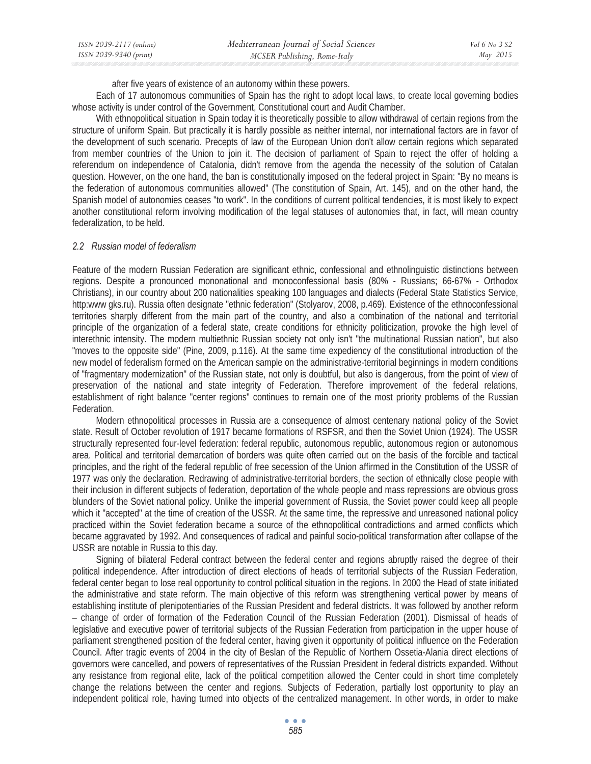| ISSN 2039-2117 (online) | Mediterranean Journal of Social Sciences | Vol 6 No. 3 S2 |
|-------------------------|------------------------------------------|----------------|
| ISSN 2039-9340 (print)  | MCSER Publishing, Rome-Italy             | May 2015       |

after five years of existence of an autonomy within these powers.

Each of 17 autonomous communities of Spain has the right to adopt local laws, to create local governing bodies whose activity is under control of the Government, Constitutional court and Audit Chamber.

With ethnopolitical situation in Spain today it is theoretically possible to allow withdrawal of certain regions from the structure of uniform Spain. But practically it is hardly possible as neither internal, nor international factors are in favor of the development of such scenario. Precepts of law of the European Union don't allow certain regions which separated from member countries of the Union to join it. The decision of parliament of Spain to reject the offer of holding a referendum on independence of Catalonia, didn't remove from the agenda the necessity of the solution of Catalan question. However, on the one hand, the ban is constitutionally imposed on the federal project in Spain: "By no means is the federation of autonomous communities allowed" (The constitution of Spain, Art. 145), and on the other hand, the Spanish model of autonomies ceases "to work". In the conditions of current political tendencies, it is most likely to expect another constitutional reform involving modification of the legal statuses of autonomies that, in fact, will mean country federalization, to be held.

#### *2.2 Russian model of federalism*

Feature of the modern Russian Federation are significant ethnic, confessional and ethnolinguistic distinctions between regions. Despite a pronounced mononational and monoconfessional basis (80% - Russians; 66-67% - Orthodox Christians), in our country about 200 nationalities speaking 100 languages and dialects (Federal State Statistics Service, http:www gks.ru). Russia often designate "ethnic federation" (Stolyarov, 2008, p.469). Existence of the ethnoconfessional territories sharply different from the main part of the country, and also a combination of the national and territorial principle of the organization of a federal state, create conditions for ethnicity politicization, provoke the high level of interethnic intensity. The modern multiethnic Russian society not only isn't "the multinational Russian nation", but also "moves to the opposite side" (Pine, 2009, p.116). At the same time expediency of the constitutional introduction of the new model of federalism formed on the American sample on the administrative-territorial beginnings in modern conditions of "fragmentary modernization" of the Russian state, not only is doubtful, but also is dangerous, from the point of view of preservation of the national and state integrity of Federation. Therefore improvement of the federal relations, establishment of right balance "center regions" continues to remain one of the most priority problems of the Russian Federation.

Modern ethnopolitical processes in Russia are a consequence of almost centenary national policy of the Soviet state. Result of October revolution of 1917 became formations of RSFSR, and then the Soviet Union (1924). The USSR structurally represented four-level federation: federal republic, autonomous republic, autonomous region or autonomous area. Political and territorial demarcation of borders was quite often carried out on the basis of the forcible and tactical principles, and the right of the federal republic of free secession of the Union affirmed in the Constitution of the USSR of 1977 was only the declaration. Redrawing of administrative-territorial borders, the section of ethnically close people with their inclusion in different subjects of federation, deportation of the whole people and mass repressions are obvious gross blunders of the Soviet national policy. Unlike the imperial government of Russia, the Soviet power could keep all people which it "accepted" at the time of creation of the USSR. At the same time, the repressive and unreasoned national policy practiced within the Soviet federation became a source of the ethnopolitical contradictions and armed conflicts which became aggravated by 1992. And consequences of radical and painful socio-political transformation after collapse of the USSR are notable in Russia to this day.

Signing of bilateral Federal contract between the federal center and regions abruptly raised the degree of their political independence. After introduction of direct elections of heads of territorial subjects of the Russian Federation, federal center began to lose real opportunity to control political situation in the regions. In 2000 the Head of state initiated the administrative and state reform. The main objective of this reform was strengthening vertical power by means of establishing institute of plenipotentiaries of the Russian President and federal districts. It was followed by another reform – change of order of formation of the Federation Council of the Russian Federation (2001). Dismissal of heads of legislative and executive power of territorial subjects of the Russian Federation from participation in the upper house of parliament strengthened position of the federal center, having given it opportunity of political influence on the Federation Council. After tragic events of 2004 in the city of Beslan of the Republic of Northern Ossetia-Alania direct elections of governors were cancelled, and powers of representatives of the Russian President in federal districts expanded. Without any resistance from regional elite, lack of the political competition allowed the Center could in short time completely change the relations between the center and regions. Subjects of Federation, partially lost opportunity to play an independent political role, having turned into objects of the centralized management. In other words, in order to make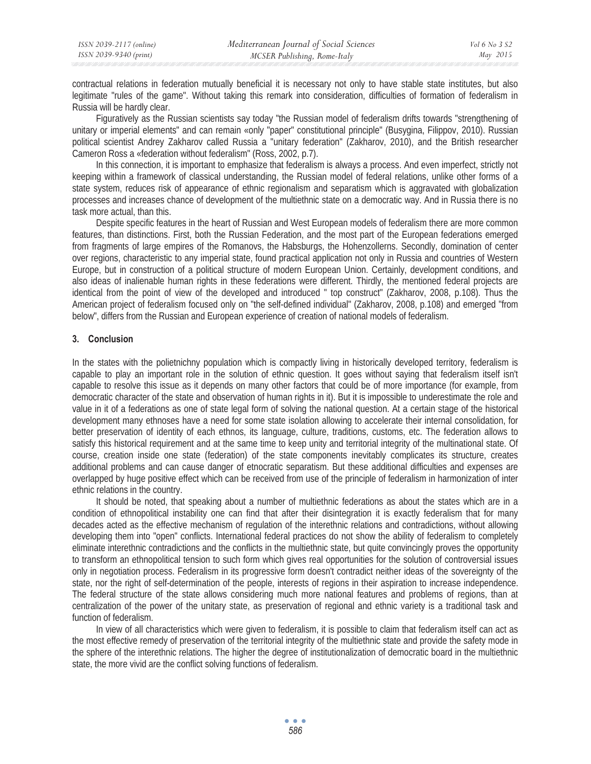| ISSN 2039-2117 (online) | Mediterranean Journal of Social Sciences | Vol 6 No 3 S2 |
|-------------------------|------------------------------------------|---------------|
| ISSN 2039-9340 (print)  | MCSER Publishing, Rome-Italy             | May 2015      |

contractual relations in federation mutually beneficial it is necessary not only to have stable state institutes, but also legitimate "rules of the game". Without taking this remark into consideration, difficulties of formation of federalism in Russia will be hardly clear.

Figuratively as the Russian scientists say today "the Russian model of federalism drifts towards "strengthening of unitary or imperial elements" and can remain «only "paper" constitutional principle" (Busygina, Filippov, 2010). Russian political scientist Andrey Zakharov called Russia a "unitary federation" (Zakharov, 2010), and the British researcher Cameron Ross a «federation without federalism" (Ross, 2002, p.7).

In this connection, it is important to emphasize that federalism is always a process. And even imperfect, strictly not keeping within a framework of classical understanding, the Russian model of federal relations, unlike other forms of a state system, reduces risk of appearance of ethnic regionalism and separatism which is aggravated with globalization processes and increases chance of development of the multiethnic state on a democratic way. And in Russia there is no task more actual, than this.

Despite specific features in the heart of Russian and West European models of federalism there are more common features, than distinctions. First, both the Russian Federation, and the most part of the European federations emerged from fragments of large empires of the Romanovs, the Habsburgs, the Hohenzollerns. Secondly, domination of center over regions, characteristic to any imperial state, found practical application not only in Russia and countries of Western Europe, but in construction of a political structure of modern European Union. Certainly, development conditions, and also ideas of inalienable human rights in these federations were different. Thirdly, the mentioned federal projects are identical from the point of view of the developed and introduced " top construct" (Zakharov, 2008, p.108). Thus the American project of federalism focused only on "the self-defined individual" (Zakharov, 2008, p.108) and emerged "from below", differs from the Russian and European experience of creation of national models of federalism.

## **3. Conclusion**

In the states with the polietnichny population which is compactly living in historically developed territory, federalism is capable to play an important role in the solution of ethnic question. It goes without saying that federalism itself isn't capable to resolve this issue as it depends on many other factors that could be of more importance (for example, from democratic character of the state and observation of human rights in it). But it is impossible to underestimate the role and value in it of a federations as one of state legal form of solving the national question. At a certain stage of the historical development many ethnoses have a need for some state isolation allowing to accelerate their internal consolidation, for better preservation of identity of each ethnos, its language, culture, traditions, customs, etc. The federation allows to satisfy this historical requirement and at the same time to keep unity and territorial integrity of the multinational state. Of course, creation inside one state (federation) of the state components inevitably complicates its structure, creates additional problems and can cause danger of etnocratic separatism. But these additional difficulties and expenses are overlapped by huge positive effect which can be received from use of the principle of federalism in harmonization of inter ethnic relations in the country.

It should be noted, that speaking about a number of multiethnic federations as about the states which are in a condition of ethnopolitical instability one can find that after their disintegration it is exactly federalism that for many decades acted as the effective mechanism of regulation of the interethnic relations and contradictions, without allowing developing them into "open" conflicts. International federal practices do not show the ability of federalism to completely eliminate interethnic contradictions and the conflicts in the multiethnic state, but quite convincingly proves the opportunity to transform an ethnopolitical tension to such form which gives real opportunities for the solution of controversial issues only in negotiation process. Federalism in its progressive form doesn't contradict neither ideas of the sovereignty of the state, nor the right of self-determination of the people, interests of regions in their aspiration to increase independence. The federal structure of the state allows considering much more national features and problems of regions, than at centralization of the power of the unitary state, as preservation of regional and ethnic variety is a traditional task and function of federalism.

In view of all characteristics which were given to federalism, it is possible to claim that federalism itself can act as the most effective remedy of preservation of the territorial integrity of the multiethnic state and provide the safety mode in the sphere of the interethnic relations. The higher the degree of institutionalization of democratic board in the multiethnic state, the more vivid are the conflict solving functions of federalism.